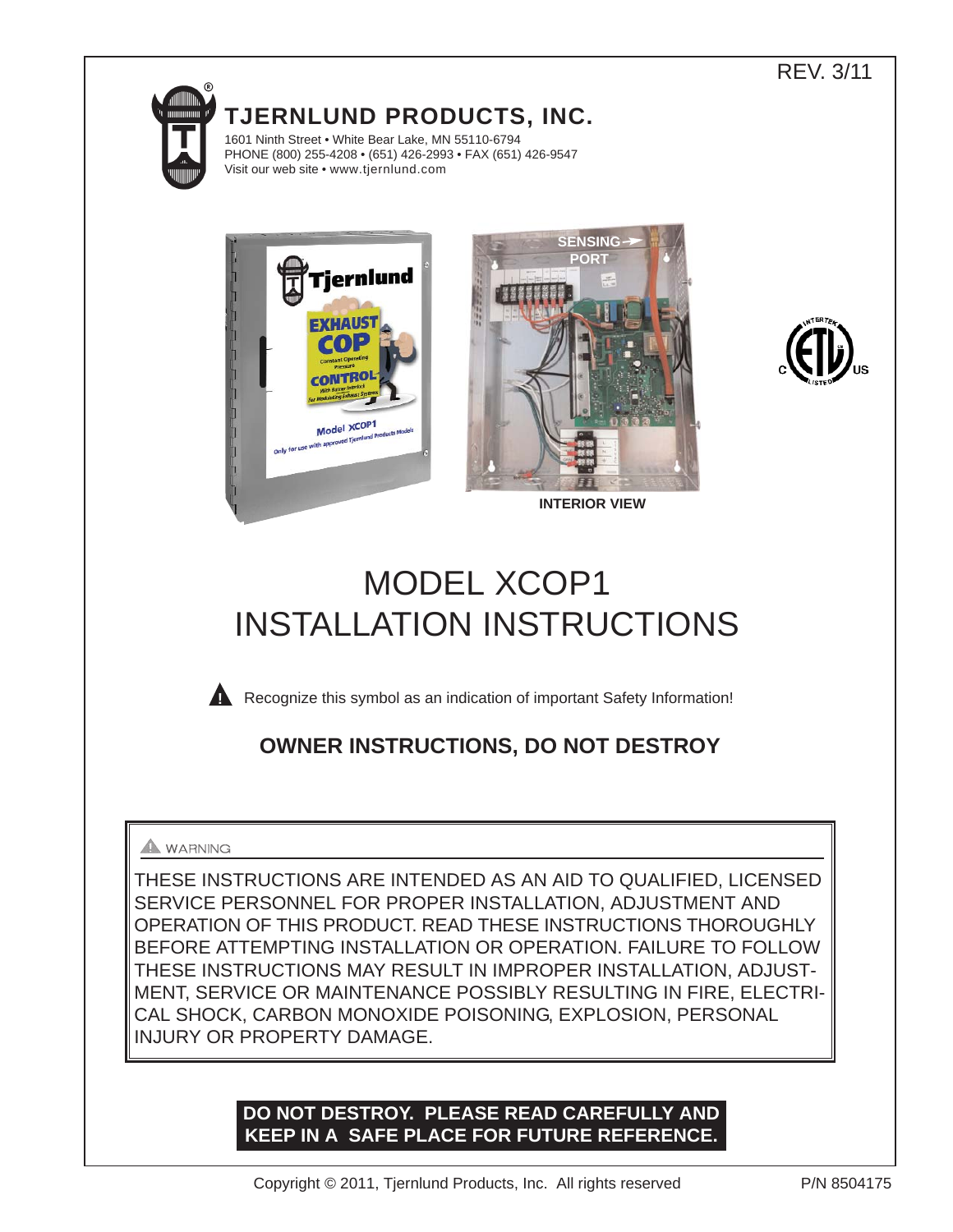# dillillin

**TJERNLUND PRODUCTS, INC.**

1601 Ninth Street • White Bear Lake, MN 55110-6794 PHONE (800) 255-4208 • (651) 426-2993 • FAX (651) 426-9547 Visit our web site • www.tjernlund.com







REV. 3/11

**INTERIOR VIEW**

# MODEL XCOP1 INSTALLATION INSTRUCTIONS



**Recognize this symbol as an indication of important Safety Information!** 

# **OWNER INSTRUCTIONS, DO NOT DESTROY**

## **A** WARNING

THESE INSTRUCTIONS ARE INTENDED AS AN AID TO QUALIFIED, LICENSED SERVICE PERSONNEL FOR PROPER INSTALLATION, ADJUSTMENT AND OPERATION OF THIS PRODUCT. READ THESE INSTRUCTIONS THOROUGHLY BEFORE ATTEMPTING INSTALLATION OR OPERATION. FAILURE TO FOLLOW THESE INSTRUCTIONS MAY RESULT IN IMPROPER INSTALLATION, ADJUST-MENT, SERVICE OR MAINTENANCE POSSIBLY RESULTING IN FIRE, ELECTRI-CAL SHOCK, CARBON MONOXIDE POISONING, EXPLOSION, PERSONAL INJURY OR PROPERTY DAMAGE.

# **DO NOT DESTROY. PLEASE READ CAREFULLY AND KEEP IN A SAFE PLACE FOR FUTURE REFERENCE.**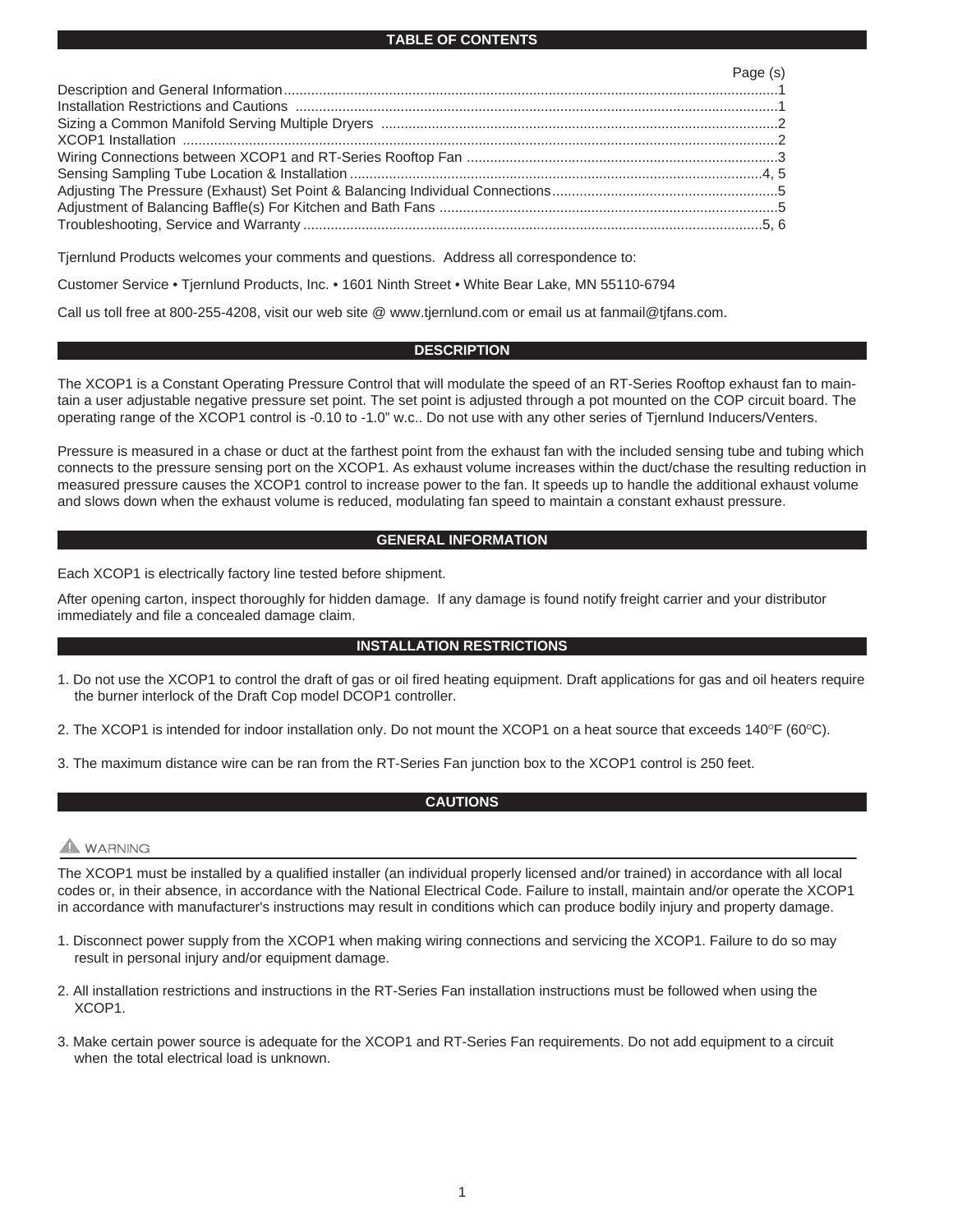#### **TABLE OF CONTENTS**

| Page (s) |
|----------|
|          |
|          |
|          |
|          |
|          |
|          |
|          |
|          |
|          |

Tjernlund Products welcomes your comments and questions. Address all correspondence to:

Customer Service • Tjernlund Products, Inc. • 1601 Ninth Street • White Bear Lake, MN 55110-6794

Call us toll free at 800-255-4208, visit our web site @ www.tjernlund.com or email us at fanmail@tjfans.com.

#### **DESCRIPTION**

The XCOP1 is a Constant Operating Pressure Control that will modulate the speed of an RT-Series Rooftop exhaust fan to maintain a user adjustable negative pressure set point. The set point is adjusted through a pot mounted on the COP circuit board. The operating range of the XCOP1 control is -0.10 to -1.0" w.c.. Do not use with any other series of Tjernlund Inducers/Venters.

Pressure is measured in a chase or duct at the farthest point from the exhaust fan with the included sensing tube and tubing which connects to the pressure sensing port on the XCOP1. As exhaust volume increases within the duct/chase the resulting reduction in measured pressure causes the XCOP1 control to increase power to the fan. It speeds up to handle the additional exhaust volume and slows down when the exhaust volume is reduced, modulating fan speed to maintain a constant exhaust pressure.

#### **GENERAL INFORMATION**

Each XCOP1 is electrically factory line tested before shipment.

After opening carton, inspect thoroughly for hidden damage. If any damage is found notify freight carrier and your distributor immediately and file a concealed damage claim.

#### **INSTALLATION RESTRICTIONS**

1. Do not use the XCOP1 to control the draft of gas or oil fired heating equipment. Draft applications for gas and oil heaters require the burner interlock of the Draft Cop model DCOP1 controller.

2. The XCOP1 is intended for indoor installation only. Do not mount the XCOP1 on a heat source that exceeds  $140^{\circ}F (60^{\circ}C)$ .

3. The maximum distance wire can be ran from the RT-Series Fan junction box to the XCOP1 control is 250 feet.

#### **CAUTIONS**

### **A** WARNING

The XCOP1 must be installed by a qualified installer (an individual properly licensed and/or trained) in accordance with all local codes or, in their absence, in accordance with the National Electrical Code. Failure to install, maintain and/or operate the XCOP1 in accordance with manufacturer's instructions may result in conditions which can produce bodily injury and property damage.

- 1. Disconnect power supply from the XCOP1 when making wiring connections and servicing the XCOP1. Failure to do so may result in personal injury and/or equipment damage.
- 2. All installation restrictions and instructions in the RT-Series Fan installation instructions must be followed when using the XCOP1.
- 3. Make certain power source is adequate for the XCOP1 and RT-Series Fan requirements. Do not add equipment to a circuit when the total electrical load is unknown.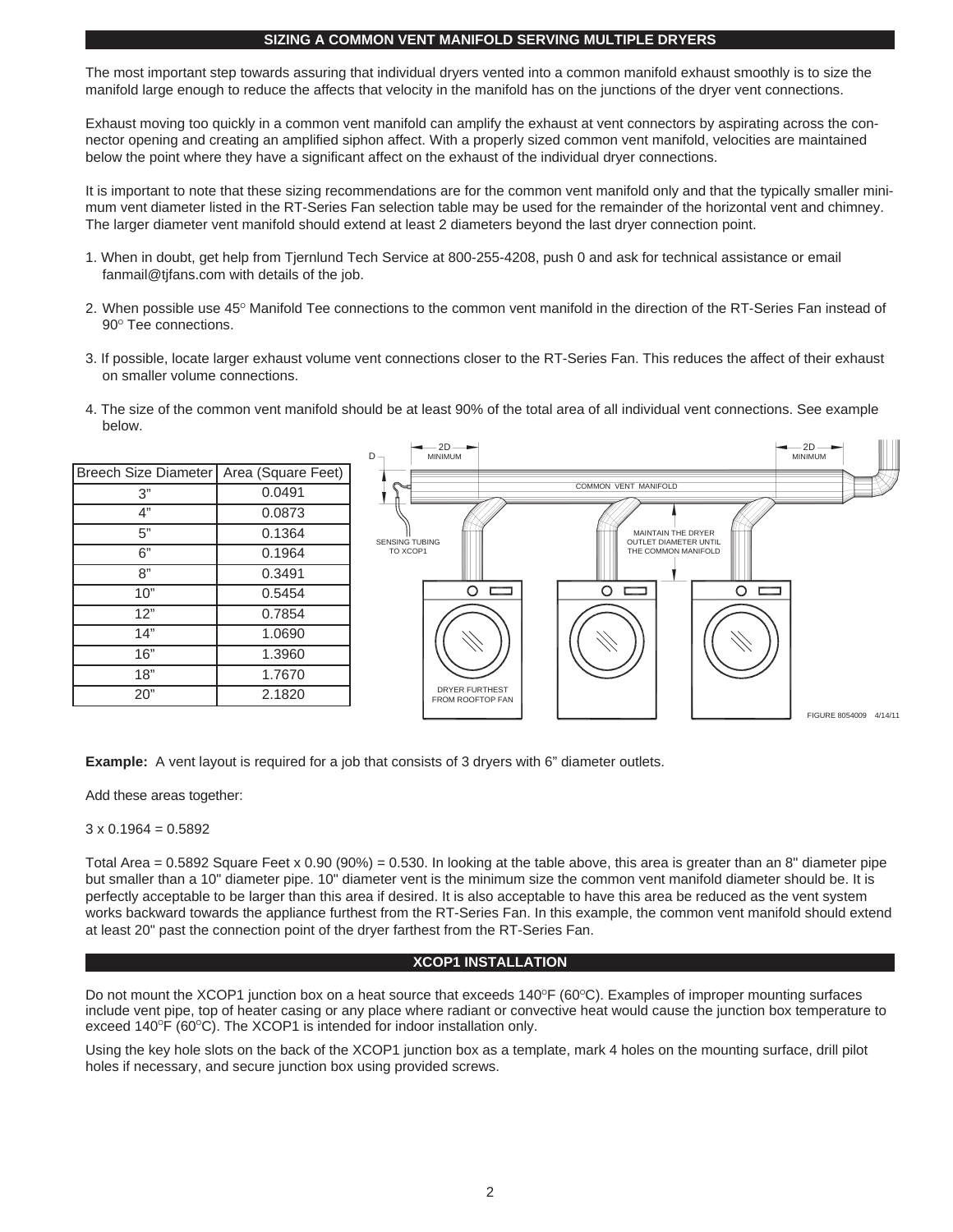#### **SIZING A COMMON VENT MANIFOLD SERVING MULTIPLE DRYERS**

The most important step towards assuring that individual dryers vented into a common manifold exhaust smoothly is to size the manifold large enough to reduce the affects that velocity in the manifold has on the junctions of the dryer vent connections.

Exhaust moving too quickly in a common vent manifold can amplify the exhaust at vent connectors by aspirating across the connector opening and creating an amplified siphon affect. With a properly sized common vent manifold, velocities are maintained below the point where they have a significant affect on the exhaust of the individual dryer connections.

It is important to note that these sizing recommendations are for the common vent manifold only and that the typically smaller minimum vent diameter listed in the RT-Series Fan selection table may be used for the remainder of the horizontal vent and chimney. The larger diameter vent manifold should extend at least 2 diameters beyond the last dryer connection point.

- 1. When in doubt, get help from Tjernlund Tech Service at 800-255-4208, push 0 and ask for technical assistance or email fanmail@tjfans.com with details of the job.
- 2. When possible use 45° Manifold Tee connections to the common vent manifold in the direction of the RT-Series Fan instead of 90° Tee connections.
- 3. If possible, locate larger exhaust volume vent connections closer to the RT-Series Fan. This reduces the affect of their exhaust on smaller volume connections.
- 4. The size of the common vent manifold should be at least 90% of the total area of all individual vent connections. See example below.



**Example:** A vent layout is required for a job that consists of 3 dryers with 6" diameter outlets.

Add these areas together:

 $3 \times 0.1964 = 0.5892$ 

Total Area =  $0.5892$  Square Feet x  $0.90$  ( $90\%$ ) =  $0.530$ . In looking at the table above, this area is greater than an 8" diameter pipe but smaller than a 10" diameter pipe. 10" diameter vent is the minimum size the common vent manifold diameter should be. It is perfectly acceptable to be larger than this area if desired. It is also acceptable to have this area be reduced as the vent system works backward towards the appliance furthest from the RT-Series Fan. In this example, the common vent manifold should extend at least 20" past the connection point of the dryer farthest from the RT-Series Fan.

#### **XCOP1 INSTALLATION**

Do not mount the XCOP1 junction box on a heat source that exceeds  $140^{\circ}F (60^{\circ}C)$ . Examples of improper mounting surfaces include vent pipe, top of heater casing or any place where radiant or convective heat would cause the junction box temperature to exceed  $140^{\circ}F$  (60 $^{\circ}C$ ). The XCOP1 is intended for indoor installation only.

Using the key hole slots on the back of the XCOP1 junction box as a template, mark 4 holes on the mounting surface, drill pilot holes if necessary, and secure junction box using provided screws.**E**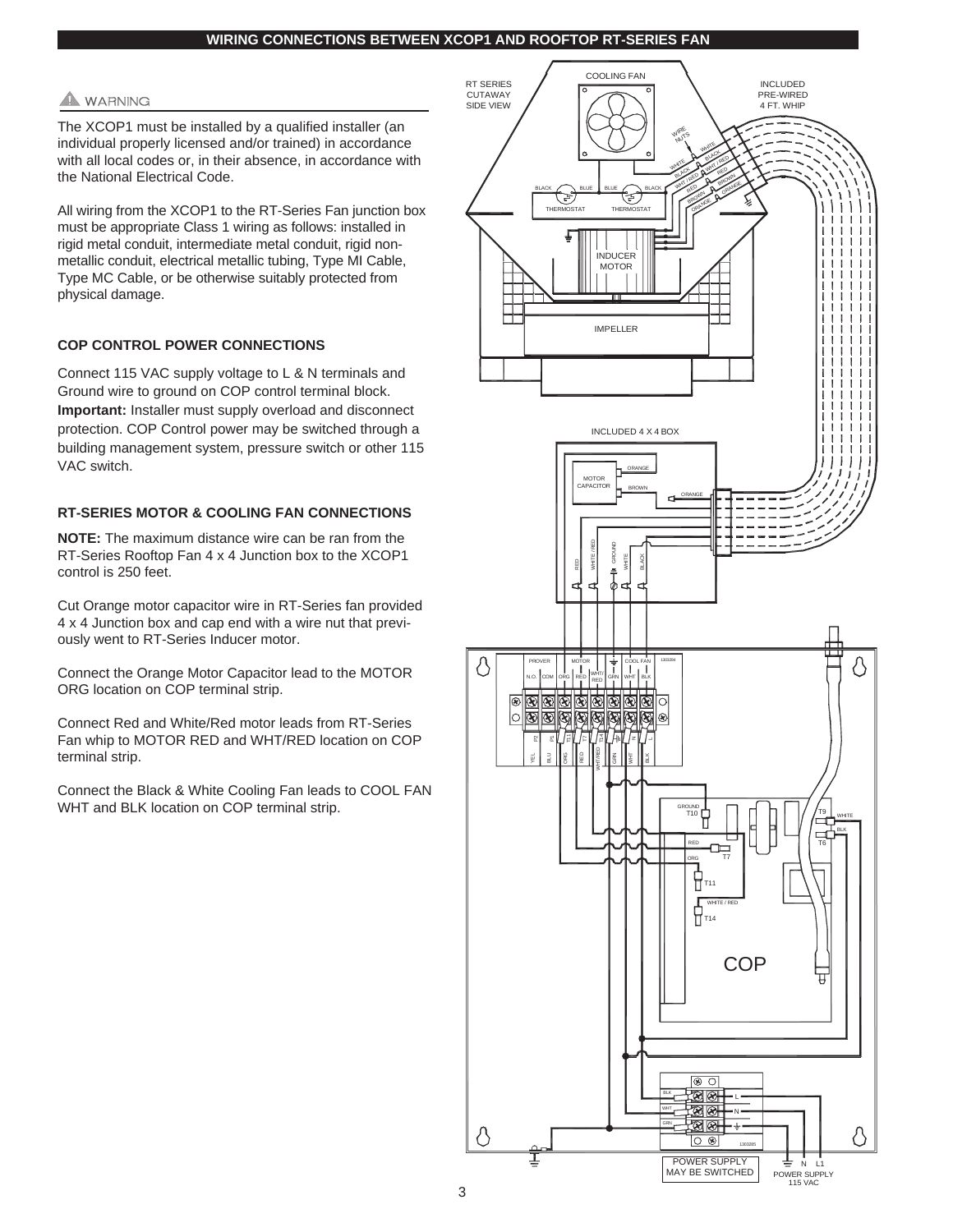#### **WIRING CONNECTIONS BETWEEN XCOP1 AND ROOFTOP RT-SERIES FAN**

#### **WARNING**

The XCOP1 must be installed by a qualified installer (an individual properly licensed and/or trained) in accordance with all local codes or, in their absence, in accordance with the National Electrical Code.

All wiring from the XCOP1 to the RT-Series Fan junction box must be appropriate Class 1 wiring as follows: installed in rigid metal conduit, intermediate metal conduit, rigid nonmetallic conduit, electrical metallic tubing, Type MI Cable, Type MC Cable, or be otherwise suitably protected from physical damage.

#### **COP CONTROL POWER CONNECTIONS**

Connect 115 VAC supply voltage to L & N terminals and Ground wire to ground on COP control terminal block. **Important:** Installer must supply overload and disconnect protection. COP Control power may be switched through a building management system, pressure switch or other 115 VAC switch.

#### **RT-SERIES MOTOR & COOLING FAN CONNECTIONS**

**NOTE:** The maximum distance wire can be ran from the RT-Series Rooftop Fan 4 x 4 Junction box to the XCOP1 control is 250 feet.

Cut Orange motor capacitor wire in RT-Series fan provided 4 x 4 Junction box and cap end with a wire nut that previously went to RT-Series Inducer motor.

Connect the Orange Motor Capacitor lead to the MOTOR ORG location on COP terminal strip.

Connect Red and White/Red motor leads from RT-Series Fan whip to MOTOR RED and WHT/RED location on COP terminal strip.

Connect the Black & White Cooling Fan leads to COOL FAN WHT and BLK location on COP terminal strip.

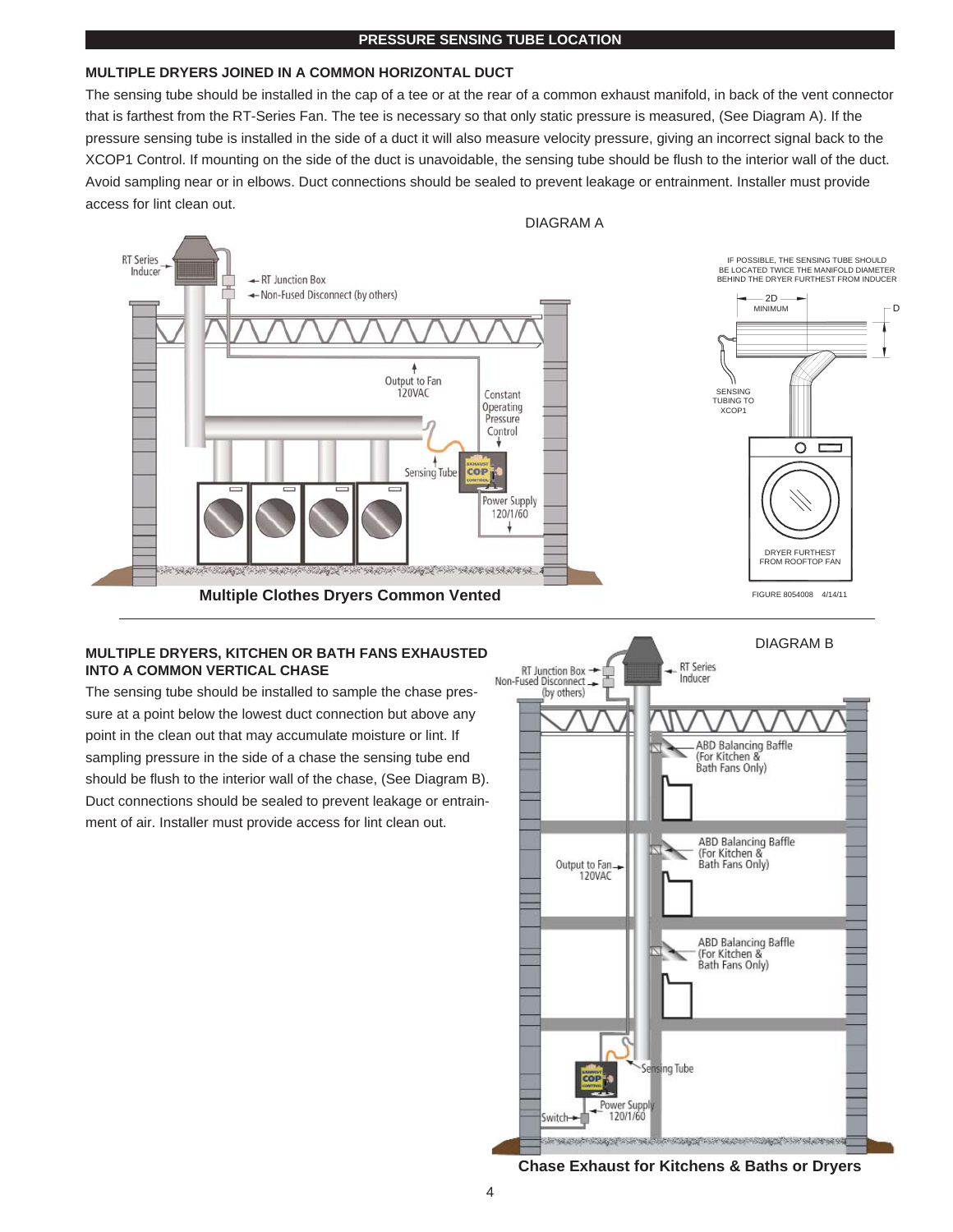#### **PRESSURE SENSING TUBE LOCATION**

#### **MULTIPLE DRYERS JOINED IN A COMMON HORIZONTAL DUCT**

The sensing tube should be installed in the cap of a tee or at the rear of a common exhaust manifold, in back of the vent connector that is farthest from the RT-Series Fan. The tee is necessary so that only static pressure is measured, (See Diagram A). If the pressure sensing tube is installed in the side of a duct it will also measure velocity pressure, giving an incorrect signal back to the XCOP1 Control. If mounting on the side of the duct is unavoidable, the sensing tube should be flush to the interior wall of the duct. Avoid sampling near or in elbows. Duct connections should be sealed to prevent leakage or entrainment. Installer must provide access for lint clean out.



#### **MULTIPLE DRYERS, KITCHEN OR BATH FANS EXHAUSTED INTO A COMMON VERTICAL CHASE**

The sensing tube should be installed to sample the chase pressure at a point below the lowest duct connection but above any point in the clean out that may accumulate moisture or lint. If sampling pressure in the side of a chase the sensing tube end should be flush to the interior wall of the chase, (See Diagram B). Duct connections should be sealed to prevent leakage or entrainment of air. Installer must provide access for lint clean out.



**Chase Exhaust for Kitchens & Baths or Dryers**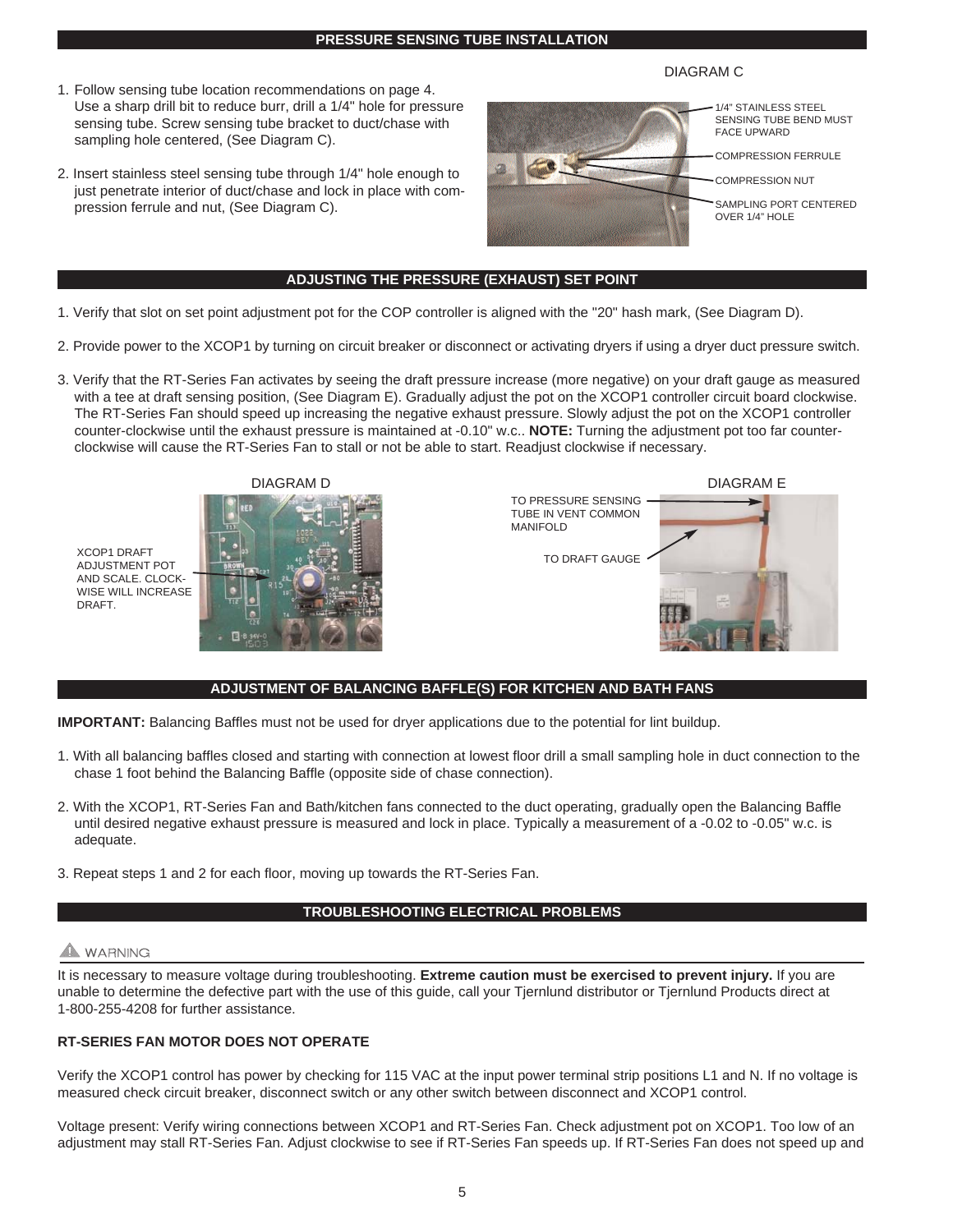#### **PRESSURE SENSING TUBE INSTALLATION**

- 1. Follow sensing tube location recommendations on page 4. Use a sharp drill bit to reduce burr, drill a 1/4" hole for pressure sensing tube. Screw sensing tube bracket to duct/chase with sampling hole centered, (See Diagram C).
- 2. Insert stainless steel sensing tube through 1/4" hole enough to just penetrate interior of duct/chase and lock in place with compression ferrule and nut, (See Diagram C).



DIAGRAM C

#### **ADJUSTING THE PRESSURE (EXHAUST) SET POINT**

- 1. Verify that slot on set point adjustment pot for the COP controller is aligned with the "20" hash mark, (See Diagram D).
- 2. Provide power to the XCOP1 by turning on circuit breaker or disconnect or activating dryers if using a dryer duct pressure switch.
- 3. Verify that the RT-Series Fan activates by seeing the draft pressure increase (more negative) on your draft gauge as measured with a tee at draft sensing position, (See Diagram E). Gradually adjust the pot on the XCOP1 controller circuit board clockwise. The RT-Series Fan should speed up increasing the negative exhaust pressure. Slowly adjust the pot on the XCOP1 controller counter-clockwise until the exhaust pressure is maintained at -0.10" w.c.. **NOTE:** Turning the adjustment pot too far counterclockwise will cause the RT-Series Fan to stall or not be able to start. Readjust clockwise if necessary.





DIAGRAM E TO PRESSURE SENSING TUBE IN VENT COMMON MANIFOLD TO DRAFT GAUGE

#### **ADJUSTMENT OF BALANCING BAFFLE(S) FOR KITCHEN AND BATH FANS**

**IMPORTANT:** Balancing Baffles must not be used for dryer applications due to the potential for lint buildup.

- 1. With all balancing baffles closed and starting with connection at lowest floor drill a small sampling hole in duct connection to the chase 1 foot behind the Balancing Baffle (opposite side of chase connection).
- 2. With the XCOP1, RT-Series Fan and Bath/kitchen fans connected to the duct operating, gradually open the Balancing Baffle until desired negative exhaust pressure is measured and lock in place. Typically a measurement of a -0.02 to -0.05" w.c. is adequate.
- 3. Repeat steps 1 and 2 for each floor, moving up towards the RT-Series Fan.

#### **TROUBLESHOOTING ELECTRICAL PROBLEMS**

#### A WARNING

It is necessary to measure voltage during troubleshooting. **Extreme caution must be exercised to prevent injury.** If you are unable to determine the defective part with the use of this guide, call your Tjernlund distributor or Tjernlund Products direct at 1-800-255-4208 for further assistance.

#### **RT-SERIES FAN MOTOR DOES NOT OPERATE**

Verify the XCOP1 control has power by checking for 115 VAC at the input power terminal strip positions L1 and N. If no voltage is measured check circuit breaker, disconnect switch or any other switch between disconnect and XCOP1 control.

Voltage present: Verify wiring connections between XCOP1 and RT-Series Fan. Check adjustment pot on XCOP1. Too low of an adjustment may stall RT-Series Fan. Adjust clockwise to see if RT-Series Fan speeds up. If RT-Series Fan does not speed up and